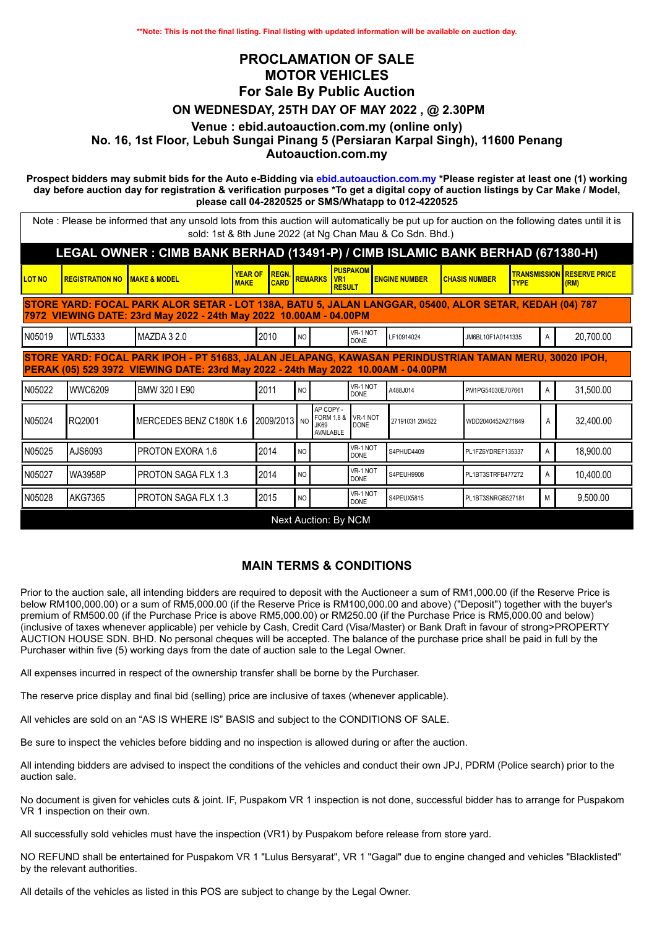## **PROCLAMATION OF SALE MOTOR VEHICLES For Sale By Public Auction ON WEDNESDAY, 25TH DAY OF MAY 2022 , @ 2.30PM Venue : ebid.autoauction.com.my (online only) No. 16, 1st Floor, Lebuh Sungai Pinang 5 (Persiaran Karpal Singh), 11600 Penang Autoauction.com.my**

**Prospect bidders may submit bids for the Auto e-Bidding via ebid.autoauction.com.my \*Please register at least one (1) working day before auction day for registration & verification purposes \*To get a digital copy of auction listings by Car Make / Model, please call 04-2820525 or SMS/Whatapp to 012-4220525**

Note : Please be informed that any unsold lots from this auction will automatically be put up for auction on the following dates until it is sold: 1st & 8th June 2022 (at Ng Chan Mau & Co Sdn. Bhd.)

| LEGAL OWNER: CIMB BANK BERHAD (13491-P) / CIMB ISLAMIC BANK BERHAD (671380-H)                                                                                                              |                                          |                            |                               |                             |                |                                                            |                         |                      |                   |                      |                                   |   |                                           |
|--------------------------------------------------------------------------------------------------------------------------------------------------------------------------------------------|------------------------------------------|----------------------------|-------------------------------|-----------------------------|----------------|------------------------------------------------------------|-------------------------|----------------------|-------------------|----------------------|-----------------------------------|---|-------------------------------------------|
| <b>LOT NO</b>                                                                                                                                                                              | <b>REGISTRATION NO IMAKE &amp; MODEL</b> |                            | <b>YEAR OF</b><br><b>MAKE</b> | <b>REGN.</b><br><b>CARD</b> |                | <b>REMARKS VR1</b><br><b>RESULT</b>                        | <b>PUSPAKOM</b>         | <b>ENGINE NUMBER</b> |                   | <b>CHASIS NUMBER</b> | <b>TYPE</b>                       |   | <b>TRANSMISSION RESERVE PRICE</b><br>(RM) |
| STORE YARD: FOCAL PARK ALOR SETAR - LOT 138A, BATU 5, JALAN LANGGAR, 05400, ALOR SETAR, KEDAH (04) 787<br>7972 VIEWING DATE: 23rd May 2022 - 24th May 2022 10.00AM - 04.00PM               |                                          |                            |                               |                             |                |                                                            |                         |                      |                   |                      |                                   |   |                                           |
| IN05019                                                                                                                                                                                    | <b>WTL5333</b>                           | IMAZDA 3 2.0               |                               | 2010<br><b>NO</b>           |                |                                                            | VR-1 NOT<br><b>DONE</b> | LF10914024           |                   |                      | JM6BL10F1A0141335                 |   | 20,700.00                                 |
| STORE YARD: FOCAL PARK IPOH - PT 51683, JALAN JELAPANG, KAWASAN PERINDUSTRIAN TAMAN MERU, 30020 IPOH,<br>PERAK (05) 529 3972 VIEWING DATE: 23rd May 2022 - 24th May 2022 10.00AM - 04.00PM |                                          |                            |                               |                             |                |                                                            |                         |                      |                   |                      |                                   |   |                                           |
| N05022                                                                                                                                                                                     | lwwc6209                                 | BMW 320 I E90              |                               | 2011                        | <b>NO</b>      |                                                            | VR-1 NOT<br><b>DONE</b> | A488J014             |                   |                      | A<br>PM1PG54030E707661            |   | 31,500.00                                 |
| IN05024                                                                                                                                                                                    | RQ2001                                   | MERCEDES BENZ C180K 1.6    |                               | 2009/2013 NO                |                | AP COPY -<br>FORM 1,8 &<br><b>JK69</b><br><b>AVAILABLE</b> | VR-1 NOT<br><b>DONE</b> | 27191031 204522      | WDD2040452A271849 |                      |                                   | A | 32,400.00                                 |
| N05025                                                                                                                                                                                     | AJS6093                                  | PROTON EXORA 1.6           |                               | 2014                        | N <sub>O</sub> |                                                            | VR-1 NOT<br><b>DONE</b> | S4PHUD4409           |                   |                      | PL1FZ6YDREF135337                 |   | 18,900.00                                 |
| N05027                                                                                                                                                                                     | WA3958P                                  | <b>PROTON SAGA FLX 1.3</b> |                               | 2014                        | N <sub>O</sub> |                                                            | VR-1 NOT<br><b>DONE</b> | S4PEUH9908           |                   |                      | $\mathsf{A}$<br>PL1BT3STRFB477272 |   | 10,400.00                                 |
| IN05028                                                                                                                                                                                    | IAKG7365                                 | <b>PROTON SAGA FLX 1.3</b> |                               | 2015                        | N <sub>O</sub> |                                                            | VR-1 NOT<br><b>DONE</b> | S4PEUX5815           |                   | PL1BT3SNRGB527181    |                                   | M | 9,500.00                                  |
|                                                                                                                                                                                            |                                          |                            |                               |                             |                | <b>Next Auction: By NCM</b>                                |                         |                      |                   |                      |                                   |   |                                           |

## **MAIN TERMS & CONDITIONS**

Prior to the auction sale, all intending bidders are required to deposit with the Auctioneer a sum of RM1,000.00 (if the Reserve Price is below RM100,000.00) or a sum of RM5,000.00 (if the Reserve Price is RM100,000.00 and above) ("Deposit") together with the buyer's premium of RM500.00 (if the Purchase Price is above RM5,000.00) or RM250.00 (if the Purchase Price is RM5,000.00 and below) (inclusive of taxes whenever applicable) per vehicle by Cash, Credit Card (Visa/Master) or Bank Draft in favour of strong>PROPERTY AUCTION HOUSE SDN. BHD. No personal cheques will be accepted. The balance of the purchase price shall be paid in full by the Purchaser within five (5) working days from the date of auction sale to the Legal Owner.

All expenses incurred in respect of the ownership transfer shall be borne by the Purchaser.

The reserve price display and final bid (selling) price are inclusive of taxes (whenever applicable).

All vehicles are sold on an "AS IS WHERE IS" BASIS and subject to the CONDITIONS OF SALE.

Be sure to inspect the vehicles before bidding and no inspection is allowed during or after the auction.

All intending bidders are advised to inspect the conditions of the vehicles and conduct their own JPJ, PDRM (Police search) prior to the auction sale.

No document is given for vehicles cuts & joint. IF, Puspakom VR 1 inspection is not done, successful bidder has to arrange for Puspakom VR 1 inspection on their own.

All successfully sold vehicles must have the inspection (VR1) by Puspakom before release from store yard.

NO REFUND shall be entertained for Puspakom VR 1 "Lulus Bersyarat", VR 1 "Gagal" due to engine changed and vehicles "Blacklisted" by the relevant authorities.

All details of the vehicles as listed in this POS are subject to change by the Legal Owner.